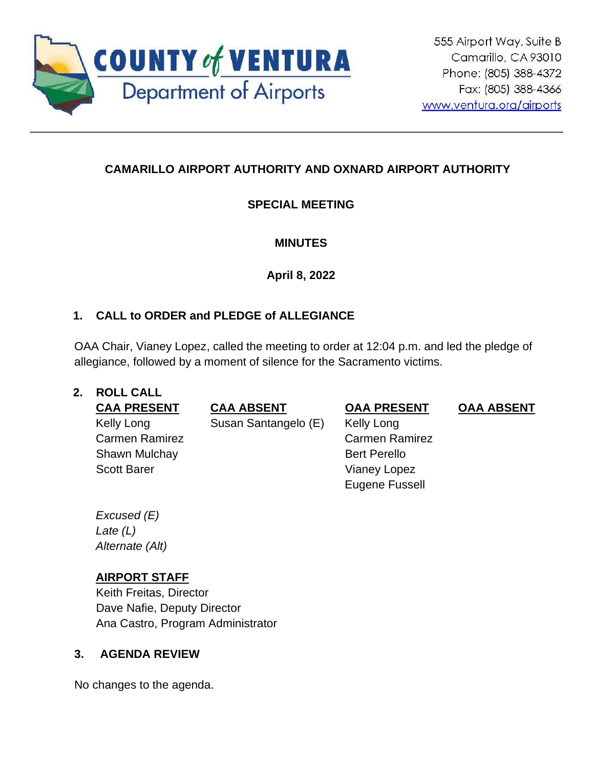

# **CAMARILLO AIRPORT AUTHORITY AND OXNARD AIRPORT AUTHORITY**

# **SPECIAL MEETING**

# **MINUTES**

**April 8, 2022**

# **1. CALL to ORDER and PLEDGE of ALLEGIANCE**

OAA Chair, Vianey Lopez, called the meeting to order at 12:04 p.m. and led the pledge of allegiance, followed by a moment of silence for the Sacramento victims.

#### **2. ROLL CALL**

Kelly Long Carmen Ramirez Shawn Mulchay Scott Barer

**CAA PRESENT CAA ABSENT OAA PRESENT OAA ABSENT**

Susan Santangelo (E) Kelly Long

Carmen Ramirez Bert Perello Vianey Lopez Eugene Fussell

*Excused (E) Late (L) Alternate (Alt)*

# **AIRPORT STAFF**

Keith Freitas, Director Dave Nafie, Deputy Director Ana Castro, Program Administrator

## **3. AGENDA REVIEW**

No changes to the agenda.